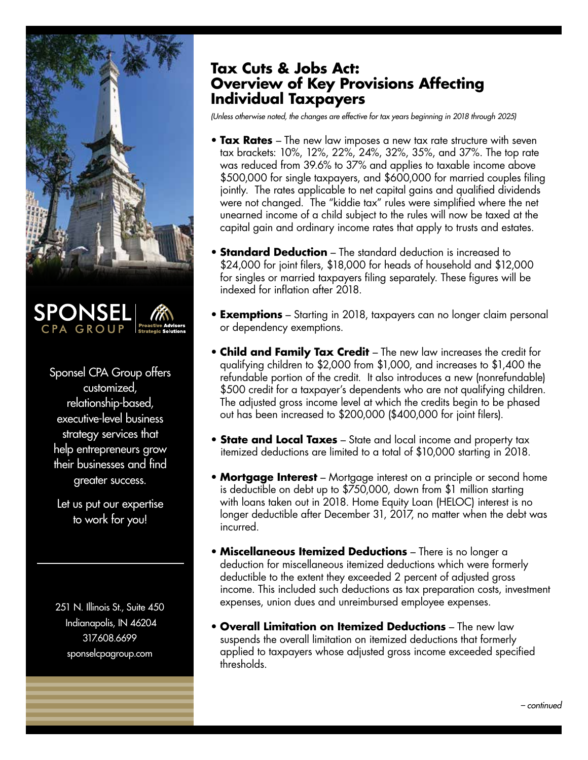



Sponsel CPA Group offers customized, relationship-based, executive-level business strategy services that help entrepreneurs grow their businesses and find greater success.

Let us put our expertise to work for you!

251 N. Illinois St., Suite 450 Indianapolis, IN 46204 317.608.6699 sponselcpagroup.com

## **Tax Cuts & Jobs Act: Overview of Key Provisions Affecting Individual Taxpayers**

*(Unless otherwise noted, the changes are effective for tax years beginning in 2018 through 2025)*

- **Tax Rates**  The new law imposes a new tax rate structure with seven tax brackets: 10%, 12%, 22%, 24%, 32%, 35%, and 37%. The top rate was reduced from 39.6% to 37% and applies to taxable income above \$500,000 for single taxpayers, and \$600,000 for married couples filing jointly. The rates applicable to net capital gains and qualified dividends were not changed. The "kiddie tax" rules were simplified where the net unearned income of a child subject to the rules will now be taxed at the capital gain and ordinary income rates that apply to trusts and estates.
- **Standard Deduction** The standard deduction is increased to \$24,000 for joint filers, \$18,000 for heads of household and \$12,000 for singles or married taxpayers filing separately. These figures will be indexed for inflation after 2018.
- **Exemptions** Starting in 2018, taxpayers can no longer claim personal or dependency exemptions.
- **Child and Family Tax Credit**  The new law increases the credit for qualifying children to \$2,000 from \$1,000, and increases to \$1,400 the refundable portion of the credit. It also introduces a new (nonrefundable) \$500 credit for a taxpayer's dependents who are not qualifying children. The adjusted gross income level at which the credits begin to be phased out has been increased to \$200,000 (\$400,000 for joint filers).
- **State and Local Taxes** State and local income and property tax itemized deductions are limited to a total of \$10,000 starting in 2018.
- **Mortgage Interest** Mortgage interest on a principle or second home is deductible on debt up to \$750,000, down from \$1 million starting with loans taken out in 2018. Home Equity Loan (HELOC) interest is no longer deductible after December 31, 2017, no matter when the debt was incurred.
- **Miscellaneous Itemized Deductions** There is no longer a deduction for miscellaneous itemized deductions which were formerly deductible to the extent they exceeded 2 percent of adjusted gross income. This included such deductions as tax preparation costs, investment expenses, union dues and unreimbursed employee expenses.
- **Overall Limitation on Itemized Deductions** The new law suspends the overall limitation on itemized deductions that formerly applied to taxpayers whose adjusted gross income exceeded specified thresholds.